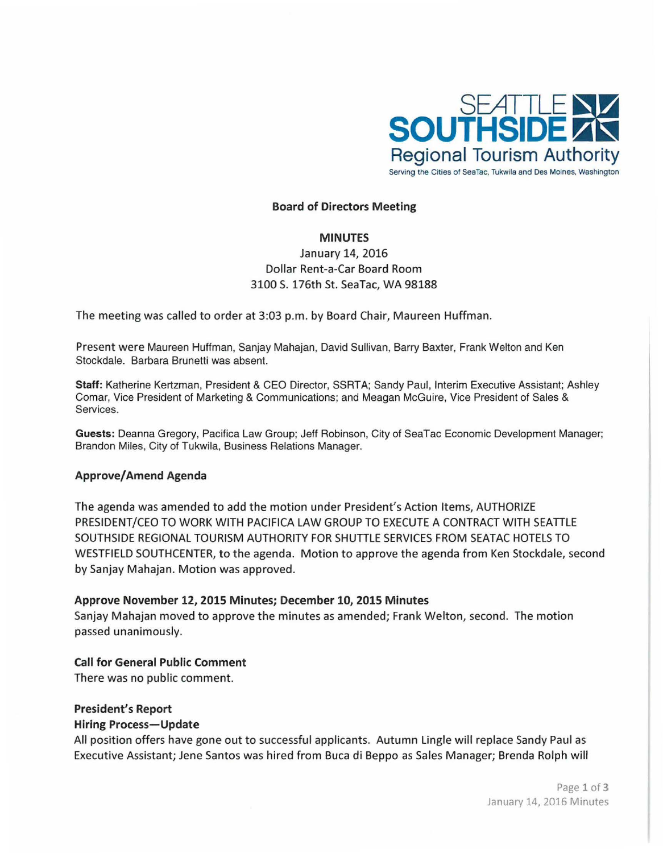

#### **Board of Directors Meeting**

#### **MINUTES**

# January 14, 2016 Dollar Rent-a-Car Board Room 3100 S. 176th St. SeaTac, **WA 98188**

The meeting was called to order at 3:03 p.m. by Board Chair, Maureen Huffman.

Present were Maureen Huffman, Sanjay Mahajan, David Sullivan, Barry Baxter, Frank Welton and Ken Stockdale. Barbara Brunetti was absent.

Staff: Katherine Kertzman, President & CEO Director, SSRTA; Sandy Paul, Interim Executive Assistant; Ashley Comar, Vice President of Marketing & Communications; and Meagan McGuire, Vice President of Sales & Services.

**Guests:** Deanna Gregory, Pacifica Law Group; Jeff Robinson, City of SeaTac Economic Development Manager; Brandon Miles, City of Tukwila, Business Relations Manager.

#### **Approve/ Amend Agenda**

The agenda was amended to add the motion under President's Action Items, AUTHORIZE PRESIDENT/CEO TO WORK WITH PACIFICA LAW GROUP TO EXECUTE A CONTRACT WITH SEATTLE SOUTHSIDE REGIONAL TOURISM AUTHORITY FOR SHUTTLE SERVICES FROM SEATAC HOTELS TO WESTFIELD SOUTHCENTER, to the agenda. Motion to approve the agenda from Ken Stockdale, second by Sanjay Mahajan. Motion was approved.

#### **Approve November 12, 2015 Minutes; December 10, 2015 Minutes**

Sanjay Mahajan moved to approve the minutes as amended; Frank Welton, second. The motion passed unanimously.

#### **Call for General Public Comment**

There was no public comment.

### **President's Report**

#### **Hiring Process-Update**

All position offers have gone out to successful applicants. Autumn Lingle will replace Sandy Paul as Executive Assistant; Jene Santos was hired from Buca di Beppo as Sales Manager; Brenda Rolph will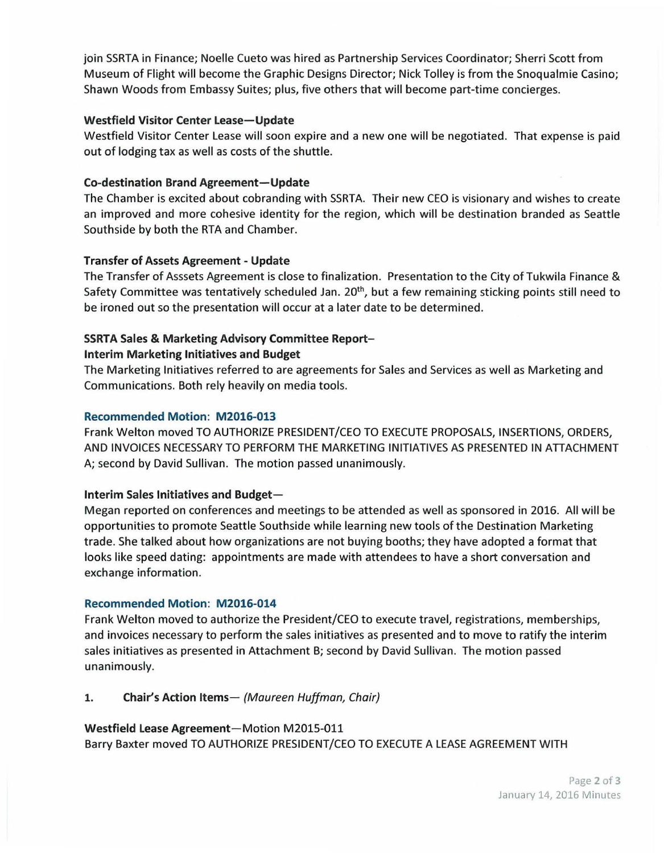join SSRTA in Finance; Noelle Cueto was hired as Partnership Services Coordinator; Sherri Scott from Museum of Flight will become the Graphic Designs Director; Nick Tolley is from the Snoqualmie Casino; Shawn Woods from Embassy Suites; plus, five others that will become part-time concierges.

#### **Westfield Visitor Center Lease-Update**

Westfield Visitor Center Lease will soon expire and a new one will be negotiated. That expense is paid out of lodging tax as well as costs of the shuttle.

#### **Co-destination Brand Agreement-Update**

The Chamber is excited about cobranding with SSRTA. Their new CEO is visionary and wishes to create an improved and more cohesive identity for the region, which will be destination branded as Seattle Southside by both the RTA and Chamber.

#### **Transfer of Assets Agreement** - **Update**

The Transfer of Asssets Agreement is close to finalization. Presentation to the City of Tukwila Finance & Safety Committee was tentatively scheduled Jan. 20<sup>th</sup>, but a few remaining sticking points still need to be ironed out so the presentation will occur at a later date to be determined.

### **SSRTA Sales** & **Marketing Advisory Committee Report-**

#### **Interim Marketing Initiatives and Budget**

The Marketing Initiatives referred to are agreements for Sales and Services as well as Marketing and Communications. Both rely heavily on media tools.

#### **Recommended Motion: M2016-013**

Frank Welton moved TO AUTHORIZE PRESIDENT/CEO TO EXECUTE PROPOSALS, INSERTIONS, ORDERS, AND INVOICES NECESSARY TO PERFORM THE MARKETING INITIATIVES AS PRESENTED IN ATTACHMENT A; second by David Sullivan. The motion passed unanimously.

### Interim Sales Initiatives and Budget-

Megan reported on conferences and meetings to be attended as well as sponsored in 2016. All will be opportunities to promote Seattle Southside while learning new tools of the Destination Marketing trade. She talked about how organizations are not buying booths; they have adopted a format that looks like speed dating: appointments are made with attendees to have a short conversation and exchange information.

### **Recommended Motion: M2016-014**

Frank Welton moved to authorize the President/CEO to execute travel, registrations, memberships, and invoices necessary to perform the sales initiatives as presented and to move to ratify the interim sales initiatives as presented in Attachment B; second by David Sullivan. The motion passed unanimously.

### 1. Chair's Action Items- (Maureen Huffman, Chair)

**Westfield Lease Agreement-Motion** M2015-0ll Barry Baxter moved TO AUTHORIZE PRESIDENT/CEO TO EXECUTE A LEASE AGREEMENT WITH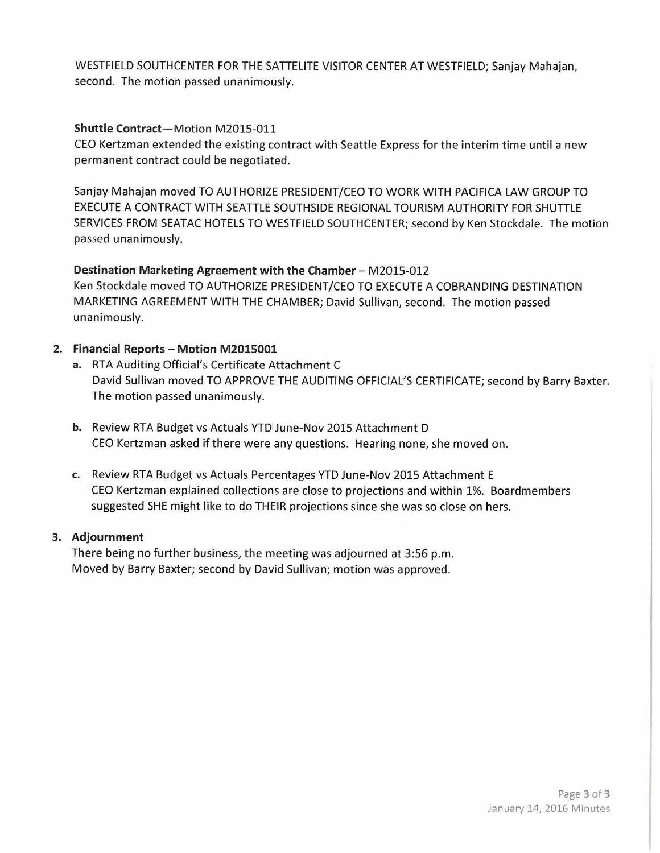WESTFIELD SOUTHCENTER FOR THE SATTELITE VISITOR CENTER AT WESTFIELD; Sanjay Mahajan, second. The motion passed unanimously.

## **Shuttle Contract-Motion** M2015-011

CEO Kertzman extended the existing contract with Seattle Express for the interim time until a new permanent contract could be negotiated.

Sanjay Mahajan moved TO AUTHORIZE PRESIDENT/CEO TO WORK WITH PACIFICA LAW GROUP TO EXECUTE A CONTRACT WITH SEATTLE SOUTHSIDE REGIONAL TOURISM AUTHORITY FOR SHUTTLE SERVICES FROM SEATAC HOTELS TO WESTFIELD SOUTHCENTER; second by Ken Stockdale. The motion passed unanimously.

## **Destination Marketing Agreement with the Chamber-** M2015-012

Ken Stockdale moved TO AUTHORIZE PRESIDENT/CEO TO EXECUTE A COBRANDING DESTINATION MARKETING AGREEMENT WITH THE CHAMBER; David Sullivan, second. The motion passed unanimously.

## **2. Financial Reports** - **Motion M2015001**

- **a.** RTA Auditing Official's Certificate Attachment C David Sullivan moved TO APPROVE THE AUDITING OFFICIAL'S CERTIFICATE; second by Barry Baxter. The motion passed unanimously.
- **b.** Review RTA Budget vs Actuals YTD June-Nov 2015 Attachment D CEO Kertzman asked if there were any questions. Hearing none, she moved on.
- c. Review RTA Budget vs Actuals Percentages YTD June-Nov 2015 Attachment E CEO Kertzman explained collections are close to projections and within 1%. Boardmembers suggested SHE might like to do THEIR projections since she was so close on hers.

### **3. Adjournment**

There being no further business, the meeting was adjourned at 3:56 p.m. Moved by Barry Baxter; second by David Sullivan; motion was approved.